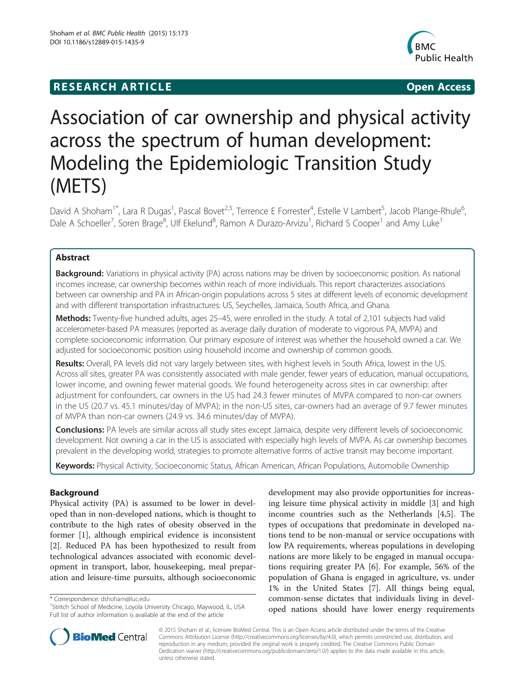## **RESEARCH ARTICLE Example 2018 12:00 Department of the Contract Open Access**



# Association of car ownership and physical activity across the spectrum of human development: Modeling the Epidemiologic Transition Study (METS)

David A Shoham<sup>1\*</sup>, Lara R Dugas<sup>1</sup>, Pascal Bovet<sup>2,3</sup>, Terrence E Forrester<sup>4</sup>, Estelle V Lambert<sup>5</sup>, Jacob Plange-Rhule<sup>6</sup> , Dale A Schoeller<sup>7</sup>, Soren Brage<sup>8</sup>, Ulf Ekelund<sup>8</sup>, Ramon A Durazo-Arvizu<sup>1</sup>, Richard S Cooper<sup>1</sup> and Amy Luke<sup>1</sup>

## Abstract

Background: Variations in physical activity (PA) across nations may be driven by socioeconomic position. As national incomes increase, car ownership becomes within reach of more individuals. This report characterizes associations between car ownership and PA in African-origin populations across 5 sites at different levels of economic development and with different transportation infrastructures: US, Seychelles, Jamaica, South Africa, and Ghana.

Methods: Twenty-five hundred adults, ages 25-45, were enrolled in the study. A total of 2,101 subjects had valid accelerometer-based PA measures (reported as average daily duration of moderate to vigorous PA, MVPA) and complete socioeconomic information. Our primary exposure of interest was whether the household owned a car. We adjusted for socioeconomic position using household income and ownership of common goods.

Results: Overall, PA levels did not vary largely between sites, with highest levels in South Africa, lowest in the US. Across all sites, greater PA was consistently associated with male gender, fewer years of education, manual occupations, lower income, and owning fewer material goods. We found heterogeneity across sites in car ownership: after adjustment for confounders, car owners in the US had 24.3 fewer minutes of MVPA compared to non-car owners in the US (20.7 vs. 45.1 minutes/day of MVPA); in the non-US sites, car-owners had an average of 9.7 fewer minutes of MVPA than non-car owners (24.9 vs. 34.6 minutes/day of MVPA).

Conclusions: PA levels are similar across all study sites except Jamaica, despite very different levels of socioeconomic development. Not owning a car in the US is associated with especially high levels of MVPA. As car ownership becomes prevalent in the developing world, strategies to promote alternative forms of active transit may become important.

Keywords: Physical Activity, Socioeconomic Status, African American, African Populations, Automobile Ownership

## Background

Physical activity (PA) is assumed to be lower in developed than in non-developed nations, which is thought to contribute to the high rates of obesity observed in the former [\[1](#page-8-0)], although empirical evidence is inconsistent [[2\]](#page-8-0). Reduced PA has been hypothesized to result from technological advances associated with economic development in transport, labor, housekeeping, meal preparation and leisure-time pursuits, although socioeconomic

\* Correspondence: [dshoham@luc.edu](mailto:dshoham@luc.edu) <sup>1</sup>

development may also provide opportunities for increasing leisure time physical activity in middle [[3\]](#page-8-0) and high income countries such as the Netherlands [[4](#page-8-0),[5](#page-8-0)]. The types of occupations that predominate in developed nations tend to be non-manual or service occupations with low PA requirements, whereas populations in developing nations are more likely to be engaged in manual occupations requiring greater PA [\[6](#page-8-0)]. For example, 56% of the population of Ghana is engaged in agriculture, vs. under 1% in the United States [[7\]](#page-8-0). All things being equal, common-sense dictates that individuals living in developed nations should have lower energy requirements



© 2015 Shoham et al.; licensee BioMed Central. This is an Open Access article distributed under the terms of the Creative Commons Attribution License [\(http://creativecommons.org/licenses/by/4.0\)](http://creativecommons.org/licenses/by/4.0), which permits unrestricted use, distribution, and reproduction in any medium, provided the original work is properly credited. The Creative Commons Public Domain Dedication waiver [\(http://creativecommons.org/publicdomain/zero/1.0/](http://creativecommons.org/publicdomain/zero/1.0/)) applies to the data made available in this article, unless otherwise stated.

<sup>&</sup>lt;sup>1</sup> Stritch School of Medicine, Loyola University Chicago, Maywood, IL, USA Full list of author information is available at the end of the article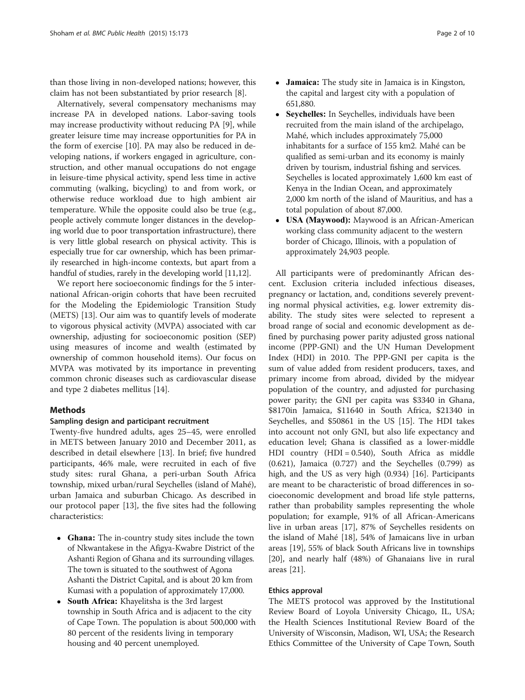than those living in non-developed nations; however, this claim has not been substantiated by prior research [[8\]](#page-8-0).

Alternatively, several compensatory mechanisms may increase PA in developed nations. Labor-saving tools may increase productivity without reducing PA [[9\]](#page-8-0), while greater leisure time may increase opportunities for PA in the form of exercise [\[10](#page-8-0)]. PA may also be reduced in developing nations, if workers engaged in agriculture, construction, and other manual occupations do not engage in leisure-time physical activity, spend less time in active commuting (walking, bicycling) to and from work, or otherwise reduce workload due to high ambient air temperature. While the opposite could also be true (e.g., people actively commute longer distances in the developing world due to poor transportation infrastructure), there is very little global research on physical activity. This is especially true for car ownership, which has been primarily researched in high-income contexts, but apart from a handful of studies, rarely in the developing world [\[11,12\]](#page-8-0).

We report here socioeconomic findings for the 5 international African-origin cohorts that have been recruited for the Modeling the Epidemiologic Transition Study (METS) [\[13](#page-8-0)]. Our aim was to quantify levels of moderate to vigorous physical activity (MVPA) associated with car ownership, adjusting for socioeconomic position (SEP) using measures of income and wealth (estimated by ownership of common household items). Our focus on MVPA was motivated by its importance in preventing common chronic diseases such as cardiovascular disease and type 2 diabetes mellitus [\[14](#page-8-0)].

## Methods

## Sampling design and participant recruitment

Twenty-five hundred adults, ages 25–45, were enrolled in METS between January 2010 and December 2011, as described in detail elsewhere [[13\]](#page-8-0). In brief; five hundred participants, 46% male, were recruited in each of five study sites: rural Ghana, a peri-urban South Africa township, mixed urban/rural Seychelles (island of Mahé), urban Jamaica and suburban Chicago. As described in our protocol paper [\[13](#page-8-0)], the five sites had the following characteristics:

- Ghana: The in-country study sites include the town of Nkwantakese in the Afigya-Kwabre District of the Ashanti Region of Ghana and its surrounding villages. The town is situated to the southwest of Agona Ashanti the District Capital, and is about 20 km from Kumasi with a population of approximately 17,000.
- South Africa: Khayelitsha is the 3rd largest township in South Africa and is adjacent to the city of Cape Town. The population is about 500,000 with 80 percent of the residents living in temporary housing and 40 percent unemployed.
- Jamaica: The study site in Jamaica is in Kingston, the capital and largest city with a population of 651,880.
- Seychelles: In Seychelles, individuals have been recruited from the main island of the archipelago, Mahé, which includes approximately 75,000 inhabitants for a surface of 155 km2. Mahé can be qualified as semi-urban and its economy is mainly driven by tourism, industrial fishing and services. Seychelles is located approximately 1,600 km east of Kenya in the Indian Ocean, and approximately 2,000 km north of the island of Mauritius, and has a total population of about 87,000.
- USA (Maywood): Maywood is an African-American working class community adjacent to the western border of Chicago, Illinois, with a population of approximately 24,903 people.

All participants were of predominantly African descent. Exclusion criteria included infectious diseases, pregnancy or lactation, and, conditions severely preventing normal physical activities, e.g. lower extremity disability. The study sites were selected to represent a broad range of social and economic development as defined by purchasing power parity adjusted gross national income (PPP-GNI) and the UN Human Development Index (HDI) in 2010. The PPP-GNI per capita is the sum of value added from resident producers, taxes, and primary income from abroad, divided by the midyear population of the country, and adjusted for purchasing power parity; the GNI per capita was \$3340 in Ghana, \$8170in Jamaica, \$11640 in South Africa, \$21340 in Seychelles, and \$50861 in the US [\[15](#page-8-0)]. The HDI takes into account not only GNI, but also life expectancy and education level; Ghana is classified as a lower-middle HDI country (HDI = 0.540), South Africa as middle (0.621), Jamaica (0.727) and the Seychelles (0.799) as high, and the US as very high (0.934) [\[16\]](#page-8-0). Participants are meant to be characteristic of broad differences in socioeconomic development and broad life style patterns, rather than probability samples representing the whole population; for example, 91% of all African-Americans live in urban areas [[17](#page-8-0)], 87% of Seychelles residents on the island of Mahé [[18](#page-8-0)], 54% of Jamaicans live in urban areas [[19\]](#page-8-0), 55% of black South Africans live in townships [[20\]](#page-8-0), and nearly half (48%) of Ghanaians live in rural areas [[21](#page-8-0)].

## Ethics approval

The METS protocol was approved by the Institutional Review Board of Loyola University Chicago, IL, USA; the Health Sciences Institutional Review Board of the University of Wisconsin, Madison, WI, USA; the Research Ethics Committee of the University of Cape Town, South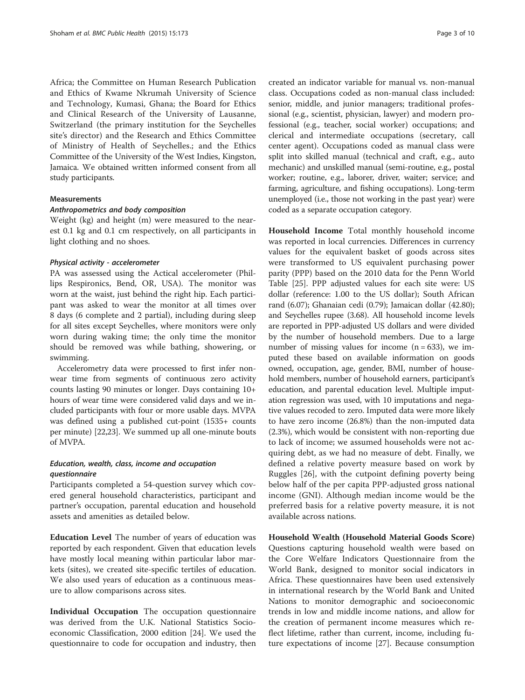Africa; the Committee on Human Research Publication and Ethics of Kwame Nkrumah University of Science and Technology, Kumasi, Ghana; the Board for Ethics and Clinical Research of the University of Lausanne, Switzerland (the primary institution for the Seychelles site's director) and the Research and Ethics Committee of Ministry of Health of Seychelles.; and the Ethics Committee of the University of the West Indies, Kingston, Jamaica. We obtained written informed consent from all study participants.

#### Measurements

#### Anthropometrics and body composition

Weight (kg) and height (m) were measured to the nearest 0.1 kg and 0.1 cm respectively, on all participants in light clothing and no shoes.

#### Physical activity - accelerometer

PA was assessed using the Actical accelerometer (Phillips Respironics, Bend, OR, USA). The monitor was worn at the waist, just behind the right hip. Each participant was asked to wear the monitor at all times over 8 days (6 complete and 2 partial), including during sleep for all sites except Seychelles, where monitors were only worn during waking time; the only time the monitor should be removed was while bathing, showering, or swimming.

Accelerometry data were processed to first infer nonwear time from segments of continuous zero activity counts lasting 90 minutes or longer. Days containing 10+ hours of wear time were considered valid days and we included participants with four or more usable days. MVPA was defined using a published cut-point (1535+ counts per minute) [\[22,23](#page-8-0)]. We summed up all one-minute bouts of MVPA.

## Education, wealth, class, income and occupation *auestionnaire*

Participants completed a 54-question survey which covered general household characteristics, participant and partner's occupation, parental education and household assets and amenities as detailed below.

Education Level The number of years of education was reported by each respondent. Given that education levels have mostly local meaning within particular labor markets (sites), we created site-specific tertiles of education. We also used years of education as a continuous measure to allow comparisons across sites.

Individual Occupation The occupation questionnaire was derived from the U.K. National Statistics Socioeconomic Classification, 2000 edition [[24](#page-8-0)]. We used the questionnaire to code for occupation and industry, then created an indicator variable for manual vs. non-manual class. Occupations coded as non-manual class included: senior, middle, and junior managers; traditional professional (e.g., scientist, physician, lawyer) and modern professional (e.g., teacher, social worker) occupations; and clerical and intermediate occupations (secretary, call center agent). Occupations coded as manual class were split into skilled manual (technical and craft, e.g., auto mechanic) and unskilled manual (semi-routine, e.g., postal worker; routine, e.g., laborer, driver, waiter; service; and farming, agriculture, and fishing occupations). Long-term unemployed (i.e., those not working in the past year) were coded as a separate occupation category.

Household Income Total monthly household income was reported in local currencies. Differences in currency values for the equivalent basket of goods across sites were transformed to US equivalent purchasing power parity (PPP) based on the 2010 data for the Penn World Table [\[25](#page-8-0)]. PPP adjusted values for each site were: US dollar (reference: 1.00 to the US dollar); South African rand (6.07); Ghanaian cedi (0.79); Jamaican dollar (42.80); and Seychelles rupee (3.68). All household income levels are reported in PPP-adjusted US dollars and were divided by the number of household members. Due to a large number of missing values for income  $(n = 633)$ , we imputed these based on available information on goods owned, occupation, age, gender, BMI, number of household members, number of household earners, participant's education, and parental education level. Multiple imputation regression was used, with 10 imputations and negative values recoded to zero. Imputed data were more likely to have zero income (26.8%) than the non-imputed data (2.3%), which would be consistent with non-reporting due to lack of income; we assumed households were not acquiring debt, as we had no measure of debt. Finally, we defined a relative poverty measure based on work by Ruggles [\[26](#page-8-0)], with the cutpoint defining poverty being below half of the per capita PPP-adjusted gross national income (GNI). Although median income would be the preferred basis for a relative poverty measure, it is not available across nations.

Household Wealth (Household Material Goods Score) Questions capturing household wealth were based on the Core Welfare Indicators Questionnaire from the World Bank, designed to monitor social indicators in Africa. These questionnaires have been used extensively in international research by the World Bank and United Nations to monitor demographic and socioeconomic trends in low and middle income nations, and allow for the creation of permanent income measures which reflect lifetime, rather than current, income, including future expectations of income [\[27\]](#page-8-0). Because consumption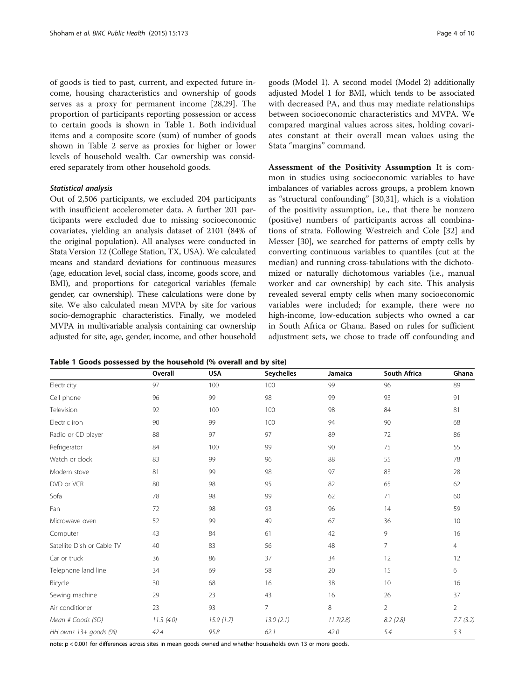<span id="page-3-0"></span>of goods is tied to past, current, and expected future income, housing characteristics and ownership of goods serves as a proxy for permanent income [\[28](#page-8-0)[,29\]](#page-9-0). The proportion of participants reporting possession or access to certain goods is shown in Table 1. Both individual items and a composite score (sum) of number of goods shown in Table [2](#page-4-0) serve as proxies for higher or lower levels of household wealth. Car ownership was considered separately from other household goods.

#### Statistical analysis

Out of 2,506 participants, we excluded 204 participants with insufficient accelerometer data. A further 201 participants were excluded due to missing socioeconomic covariates, yielding an analysis dataset of 2101 (84% of the original population). All analyses were conducted in Stata Version 12 (College Station, TX, USA). We calculated means and standard deviations for continuous measures (age, education level, social class, income, goods score, and BMI), and proportions for categorical variables (female gender, car ownership). These calculations were done by site. We also calculated mean MVPA by site for various socio-demographic characteristics. Finally, we modeled MVPA in multivariable analysis containing car ownership adjusted for site, age, gender, income, and other household

Table 1 Goods possessed by the household (% overall and by site)

|                            | Overall   | <b>USA</b> | <b>Seychelles</b> | Jamaica   | South Africa   | Ghana          |
|----------------------------|-----------|------------|-------------------|-----------|----------------|----------------|
| Electricity                | 97        | 100        | 100               | 99        | 96             | 89             |
| Cell phone                 | 96        | 99         | 98                | 99        | 93             | 91             |
| Television                 | 92        | 100        | 100               | 98        | 84             | 81             |
| Electric iron              | 90        | 99         | 100               | 94        | 90             | 68             |
| Radio or CD player         | 88        | 97         | 97                | 89        | 72             | 86             |
| Refrigerator               | 84        | 100        | 99                | 90        | 75             | 55             |
| Watch or clock             | 83        | 99         | 96                | 88        | 55             | 78             |
| Modern stove               | 81        | 99         | 98                | 97        | 83             | 28             |
| DVD or VCR                 | 80        | 98         | 95                | 82        | 65             | 62             |
| Sofa                       | 78        | 98         | 99                | 62        | 71             | 60             |
| Fan                        | 72        | 98         | 93                | 96        | 14             | 59             |
| Microwave oven             | 52        | 99         | 49                | 67        | 36             | 10             |
| Computer                   | 43        | 84         | 61                | 42        | 9              | 16             |
| Satellite Dish or Cable TV | 40        | 83         | 56                | 48        | $\overline{7}$ | $\overline{4}$ |
| Car or truck               | 36        | 86         | 37                | 34        | 12             | 12             |
| Telephone land line        | 34        | 69         | 58                | 20        | 15             | 6              |
| Bicycle                    | 30        | 68         | 16                | 38        | 10             | 16             |
| Sewing machine             | 29        | 23         | 43                | 16        | 26             | 37             |
| Air conditioner            | 23        | 93         | $\overline{7}$    | 8         | $\overline{2}$ | $\overline{2}$ |
| Mean # Goods (SD)          | 11.3(4.0) | 15.9(1.7)  | 13.0(2.1)         | 11.7(2.8) | 8.2(2.8)       | 7.7(3.2)       |
| HH owns 13+ goods (%)      | 42.4      | 95.8       | 62.1              | 42.0      | 5.4            | 5.3            |

note: p < 0.001 for differences across sites in mean goods owned and whether households own 13 or more goods.

goods (Model 1). A second model (Model 2) additionally adjusted Model 1 for BMI, which tends to be associated with decreased PA, and thus may mediate relationships between socioeconomic characteristics and MVPA. We compared marginal values across sites, holding covariates constant at their overall mean values using the Stata "margins" command.

Assessment of the Positivity Assumption It is common in studies using socioeconomic variables to have imbalances of variables across groups, a problem known as "structural confounding" [[30,31\]](#page-9-0), which is a violation of the positivity assumption, i.e., that there be nonzero (positive) numbers of participants across all combinations of strata. Following Westreich and Cole [\[32](#page-9-0)] and Messer [[30\]](#page-9-0), we searched for patterns of empty cells by converting continuous variables to quantiles (cut at the median) and running cross-tabulations with the dichotomized or naturally dichotomous variables (i.e., manual worker and car ownership) by each site. This analysis revealed several empty cells when many socioeconomic variables were included; for example, there were no high-income, low-education subjects who owned a car in South Africa or Ghana. Based on rules for sufficient adjustment sets, we chose to trade off confounding and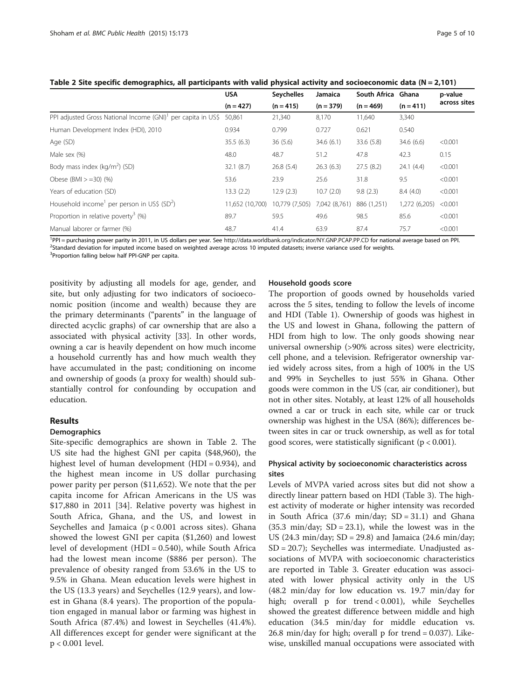|                                                                          | <b>USA</b>      | <b>Seychelles</b> | Jamaica       | South Africa Ghana | $(n = 411)$   | p-value<br>across sites |
|--------------------------------------------------------------------------|-----------------|-------------------|---------------|--------------------|---------------|-------------------------|
|                                                                          | $(n = 427)$     | $(n = 415)$       | $(n = 379)$   | $(n = 469)$        |               |                         |
| PPI adjusted Gross National Income (GNI) <sup>1</sup> per capita in US\$ | 50.861          | 21,340            | 8,170         | 11,640             | 3,340         |                         |
| Human Development Index (HDI), 2010                                      | 0.934           | 0.799             | 0.727         | 0.621              | 0.540         |                         |
| Age (SD)                                                                 | 35.5(6.3)       | 36(5.6)           | 34.6(6.1)     | 33.6 (5.8)         | 34.6(6.6)     | < 0.001                 |
| Male sex (%)                                                             | 48.0            | 48.7              | 51.2          | 47.8               | 42.3          | 0.15                    |
| Body mass index $(kq/m^2)$ (SD)                                          | 32.1(8.7)       | 26.8(5.4)         | 26.3(6.3)     | 27.5(8.2)          | 24.1(4.4)     | < 0.001                 |
| Obese (BMI $> =30$ ) (%)                                                 | 53.6            | 23.9              | 25.6          | 31.8               | 9.5           | < 0.001                 |
| Years of education (SD)                                                  | 13.3(2.2)       | 12.9(2.3)         | 10.7(2.0)     | 9.8(2.3)           | 8.4(4.0)      | < 0.001                 |
| Household income <sup>1</sup> per person in US\$ (SD <sup>2</sup> )      | 11,652 (10,700) | 10,779 (7,505)    | 7,042 (8,761) | 886 (1,251)        | 1,272 (6,205) | < 0.001                 |
| Proportion in relative poverty <sup>3</sup> (%)                          | 89.7            | 59.5              | 49.6          | 98.5               | 85.6          | < 0.001                 |
| Manual laborer or farmer (%)                                             | 48.7            | 41.4              | 63.9          | 87.4               | 75.7          | < 0.001                 |

<span id="page-4-0"></span>Table 2 Site specific demographics, all participants with valid physical activity and socioeconomic data ( $N = 2,101$ )

<sup>1</sup>PPI = purchasing power parity in 2011, in US dollars per year. See <http://data.worldbank.org/indicator/NY.GNP.PCAP.PP.CD> for national average based on PPI.<br><sup>2</sup>Standard deviation for imputed income based on weighted aver <sup>2</sup>Standard deviation for imputed income based on weighted average across 10 imputed datasets; inverse variance used for weights.

<sup>3</sup>Proportion falling below half PPI-GNP per capita.

positivity by adjusting all models for age, gender, and site, but only adjusting for two indicators of socioeconomic position (income and wealth) because they are the primary determinants ("parents" in the language of directed acyclic graphs) of car ownership that are also a associated with physical activity [\[33\]](#page-9-0). In other words, owning a car is heavily dependent on how much income a household currently has and how much wealth they have accumulated in the past; conditioning on income and ownership of goods (a proxy for wealth) should substantially control for confounding by occupation and education.

## Results

#### Demographics

Site-specific demographics are shown in Table 2. The US site had the highest GNI per capita (\$48,960), the highest level of human development (HDI =  $0.934$ ), and the highest mean income in US dollar purchasing power parity per person (\$11,652). We note that the per capita income for African Americans in the US was \$17,880 in 2011 [\[34](#page-9-0)]. Relative poverty was highest in South Africa, Ghana, and the US, and lowest in Seychelles and Jamaica  $(p < 0.001$  across sites). Ghana showed the lowest GNI per capita (\$1,260) and lowest level of development (HDI = 0.540), while South Africa had the lowest mean income (\$886 per person). The prevalence of obesity ranged from 53.6% in the US to 9.5% in Ghana. Mean education levels were highest in the US (13.3 years) and Seychelles (12.9 years), and lowest in Ghana (8.4 years). The proportion of the population engaged in manual labor or farming was highest in South Africa (87.4%) and lowest in Seychelles (41.4%). All differences except for gender were significant at the p < 0.001 level.

#### Household goods score

The proportion of goods owned by households varied across the 5 sites, tending to follow the levels of income and HDI (Table [1](#page-3-0)). Ownership of goods was highest in the US and lowest in Ghana, following the pattern of HDI from high to low. The only goods showing near universal ownership (>90% across sites) were electricity, cell phone, and a television. Refrigerator ownership varied widely across sites, from a high of 100% in the US and 99% in Seychelles to just 55% in Ghana. Other goods were common in the US (car, air conditioner), but not in other sites. Notably, at least 12% of all households owned a car or truck in each site, while car or truck ownership was highest in the USA (86%); differences between sites in car or truck ownership, as well as for total good scores, were statistically significant ( $p < 0.001$ ).

## Physical activity by socioeconomic characteristics across sites

Levels of MVPA varied across sites but did not show a directly linear pattern based on HDI (Table [3\)](#page-5-0). The highest activity of moderate or higher intensity was recorded in South Africa  $(37.6 \text{ min/day}; SD = 31.1)$  and Ghana  $(35.3 \text{ min/day}; SD = 23.1)$ , while the lowest was in the US (24.3 min/day;  $SD = 29.8$ ) and Jamaica (24.6 min/day; SD = 20.7); Seychelles was intermediate. Unadjusted associations of MVPA with socioeconomic characteristics are reported in Table [3.](#page-5-0) Greater education was associated with lower physical activity only in the US (48.2 min/day for low education vs. 19.7 min/day for high; overall p for trend < 0.001), while Seychelles showed the greatest difference between middle and high education (34.5 min/day for middle education vs.  $26.8 \text{ min/day}$  for high; overall p for trend = 0.037). Likewise, unskilled manual occupations were associated with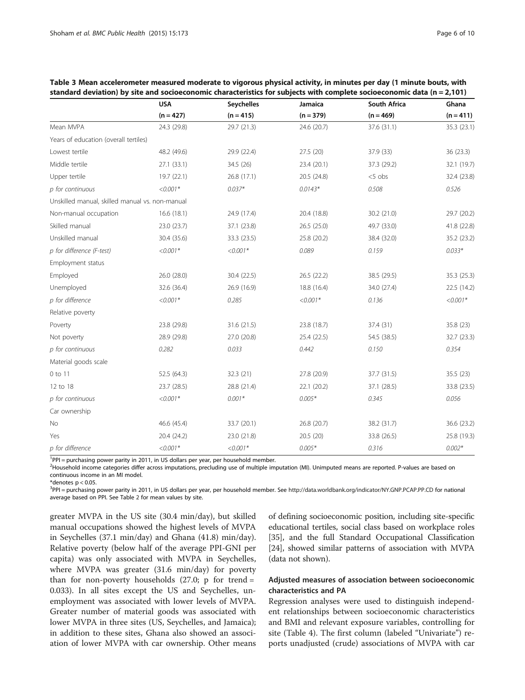|                                                 | <b>USA</b>  | Seychelles  | Jamaica     | South Africa | Ghana       |
|-------------------------------------------------|-------------|-------------|-------------|--------------|-------------|
|                                                 | $(n = 427)$ | $(n = 415)$ | $(n = 379)$ | $(n = 469)$  | $(n = 411)$ |
| Mean MVPA                                       | 24.3 (29.8) | 29.7 (21.3) | 24.6 (20.7) | 37.6 (31.1)  | 35.3 (23.1) |
| Years of education (overall tertiles)           |             |             |             |              |             |
| Lowest tertile                                  | 48.2 (49.6) | 29.9 (22.4) | 27.5 (20)   | 37.9 (33)    | 36 (23.3)   |
| Middle tertile                                  | 27.1 (33.1) | 34.5 (26)   | 23.4 (20.1) | 37.3 (29.2)  | 32.1 (19.7) |
| Upper tertile                                   | 19.7 (22.1) | 26.8(17.1)  | 20.5 (24.8) | $< 5$ obs    | 32.4 (23.8) |
| p for continuous                                | $< 0.001*$  | $0.037*$    | $0.0143*$   | 0.508        | 0.526       |
| Unskilled manual, skilled manual vs. non-manual |             |             |             |              |             |
| Non-manual occupation                           | 16.6(18.1)  | 24.9 (17.4) | 20.4 (18.8) | 30.2 (21.0)  | 29.7 (20.2) |
| Skilled manual                                  | 23.0 (23.7) | 37.1 (23.8) | 26.5 (25.0) | 49.7 (33.0)  | 41.8 (22.8) |
| Unskilled manual                                | 30.4 (35.6) | 33.3 (23.5) | 25.8 (20.2) | 38.4 (32.0)  | 35.2 (23.2) |
| p for difference (F-test)                       | $<0.001*$   | $<0.001*$   | 0.089       | 0.159        | $0.033*$    |
| Employment status                               |             |             |             |              |             |
| Employed                                        | 26.0 (28.0) | 30.4 (22.5) | 26.5 (22.2) | 38.5 (29.5)  | 35.3 (25.3) |
| Unemployed                                      | 32.6 (36.4) | 26.9 (16.9) | 18.8 (16.4) | 34.0 (27.4)  | 22.5 (14.2) |
| p for difference                                | $<0.001*$   | 0.285       | $< 0.001*$  | 0.136        | $<0.001*$   |
| Relative poverty                                |             |             |             |              |             |
| Poverty                                         | 23.8 (29.8) | 31.6 (21.5) | 23.8 (18.7) | 37.4 (31)    | 35.8 (23)   |
| Not poverty                                     | 28.9 (29.8) | 27.0 (20.8) | 25.4 (22.5) | 54.5 (38.5)  | 32.7 (23.3) |
| p for continuous                                | 0.282       | 0.033       | 0.442       | 0.150        | 0.354       |
| Material goods scale                            |             |             |             |              |             |
| $0$ to $11$                                     | 52.5 (64.3) | 32.3 (21)   | 27.8 (20.9) | 37.7 (31.5)  | 35.5 (23)   |
| 12 to 18                                        | 23.7 (28.5) | 28.8 (21.4) | 22.1 (20.2) | 37.1 (28.5)  | 33.8 (23.5) |
| p for continuous                                | $<0.001*$   | $0.001*$    | $0.005*$    | 0.345        | 0.056       |
| Car ownership                                   |             |             |             |              |             |
| No                                              | 46.6 (45.4) | 33.7 (20.1) | 26.8 (20.7) | 38.2 (31.7)  | 36.6 (23.2) |
| Yes                                             | 20.4 (24.2) | 23.0 (21.8) | 20.5 (20)   | 33.8 (26.5)  | 25.8 (19.3) |
| p for difference                                | $<0.001*$   | $<0.001*$   | $0.005*$    | 0.316        | $0.002*$    |

<span id="page-5-0"></span>

| Table 3 Mean accelerometer measured moderate to vigorous physical activity, in minutes per day (1 minute bouts, with    |
|-------------------------------------------------------------------------------------------------------------------------|
| standard deviation) by site and socioeconomic characteristics for subjects with complete socioeconomic data (n = 2,101) |

<sup>1</sup>PPI = purchasing power parity in 2011, in US dollars per year, per household member.

<sup>2</sup> Household income categories differ across imputations, precluding use of multiple imputation (MI). Unimputed means are reported. P-values are based on continuous income in an MI model.

\*denotes  $p < 0.05$ .

<sup>3</sup>PPI = purchasing power parity in 2011, in US dollars per year, per household member. See <http://data.worldbank.org/indicator/NY.GNP.PCAP.PP.CD> for national average based on PPI. See Table [2](#page-4-0) for mean values by site.

greater MVPA in the US site (30.4 min/day), but skilled manual occupations showed the highest levels of MVPA in Seychelles (37.1 min/day) and Ghana (41.8) min/day). Relative poverty (below half of the average PPI-GNI per capita) was only associated with MVPA in Seychelles, where MVPA was greater (31.6 min/day) for poverty than for non-poverty households  $(27.0; p for trend =$ 0.033). In all sites except the US and Seychelles, unemployment was associated with lower levels of MVPA. Greater number of material goods was associated with lower MVPA in three sites (US, Seychelles, and Jamaica); in addition to these sites, Ghana also showed an association of lower MVPA with car ownership. Other means of defining socioeconomic position, including site-specific educational tertiles, social class based on workplace roles [[35](#page-9-0)], and the full Standard Occupational Classification [[24](#page-8-0)], showed similar patterns of association with MVPA (data not shown).

## Adjusted measures of association between socioeconomic characteristics and PA

Regression analyses were used to distinguish independent relationships between socioeconomic characteristics and BMI and relevant exposure variables, controlling for site (Table [4](#page-6-0)). The first column (labeled "Univariate") reports unadjusted (crude) associations of MVPA with car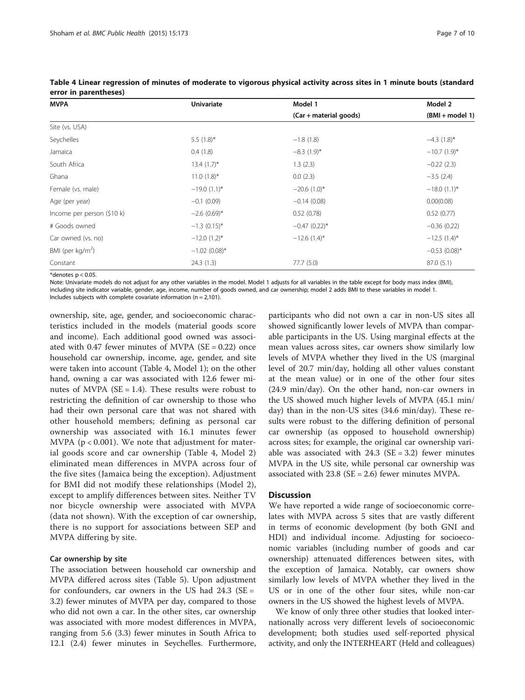| <b>MVPA</b>                | <b>Univariate</b> | Model 1                    | Model 2          |
|----------------------------|-------------------|----------------------------|------------------|
|                            |                   | (Car + material goods)     | (BMI + model 1)  |
| Site (vs. USA)             |                   |                            |                  |
| Seychelles                 | 5.5 $(1.8)$ *     | $-1.8(1.8)$                | $-4.3(1.8)^{*}$  |
| Jamaica                    | 0.4(1.8)          | $-8.3(1.9)^{*}$            | $-10.7(1.9)$ *   |
| South Africa               | $13.4(1.7)^{*}$   | 1.3(2.3)                   | $-0.22(2.3)$     |
| Ghana                      | $11.0(1.8)$ *     | 0.0(2.3)                   | $-3.5(2.4)$      |
| Female (vs. male)          | $-19.0(1.1)^{*}$  | $-20.6(1.0)^{*}$           | $-18.0(1.1)^{*}$ |
| Age (per year)             | $-0.1(0.09)$      | $-0.14(0.08)$              | 0.00(0.08)       |
| Income per person (\$10 k) | $-2.6(0.69)$ *    | 0.52(0.78)                 | 0.52(0.77)       |
| # Goods owned              | $-1.3(0.15)^{*}$  | $-0.47(0.22)$ *            | $-0.36(0.22)$    |
| Car owned (vs. no)         | $-12.0(1.2)$ *    | $-12.6$ (1.4) <sup>*</sup> | $-12.5(1.4)^{*}$ |
| BMI (per $kg/m2$ )         | $-1.02$ (0.08)*   |                            | $-0.53(0.08)$ *  |
| Constant                   | 24.3(1.3)         | 77.7 (5.0)                 | 87.0(5.1)        |

<span id="page-6-0"></span>Table 4 Linear regression of minutes of moderate to vigorous physical activity across sites in 1 minute bouts (standard error in parentheses)

\*denotes  $p < 0.05$ 

Note: Univariate models do not adjust for any other variables in the model. Model 1 adjusts for all variables in the table except for body mass index (BMI), including site indicator variable, gender, age, income, number of goods owned, and car ownership; model 2 adds BMI to these variables in model 1. Includes subjects with complete covariate information ( $n = 2,101$ ).

ownership, site, age, gender, and socioeconomic characteristics included in the models (material goods score and income). Each additional good owned was associated with  $0.47$  fewer minutes of MVPA (SE =  $0.22$ ) once household car ownership, income, age, gender, and site were taken into account (Table 4, Model 1); on the other hand, owning a car was associated with 12.6 fewer minutes of MVPA ( $SE = 1.4$ ). These results were robust to restricting the definition of car ownership to those who had their own personal care that was not shared with other household members; defining as personal car ownership was associated with 16.1 minutes fewer MVPA  $(p < 0.001)$ . We note that adjustment for material goods score and car ownership (Table 4, Model 2) eliminated mean differences in MVPA across four of the five sites (Jamaica being the exception). Adjustment for BMI did not modify these relationships (Model 2), except to amplify differences between sites. Neither TV nor bicycle ownership were associated with MVPA (data not shown). With the exception of car ownership, there is no support for associations between SEP and MVPA differing by site.

#### Car ownership by site

The association between household car ownership and MVPA differed across sites (Table [5\)](#page-7-0). Upon adjustment for confounders, car owners in the US had  $24.3$  (SE = 3.2) fewer minutes of MVPA per day, compared to those who did not own a car. In the other sites, car ownership was associated with more modest differences in MVPA, ranging from 5.6 (3.3) fewer minutes in South Africa to 12.1 (2.4) fewer minutes in Seychelles. Furthermore,

participants who did not own a car in non-US sites all showed significantly lower levels of MVPA than comparable participants in the US. Using marginal effects at the mean values across sites, car owners show similarly low levels of MVPA whether they lived in the US (marginal level of 20.7 min/day, holding all other values constant at the mean value) or in one of the other four sites (24.9 min/day). On the other hand, non-car owners in the US showed much higher levels of MVPA (45.1 min/ day) than in the non-US sites (34.6 min/day). These results were robust to the differing definition of personal car ownership (as opposed to household ownership) across sites; for example, the original car ownership variable was associated with  $24.3$  (SE = 3.2) fewer minutes MVPA in the US site, while personal car ownership was associated with 23.8 (SE = 2.6) fewer minutes MVPA.

## **Discussion**

We have reported a wide range of socioeconomic correlates with MVPA across 5 sites that are vastly different in terms of economic development (by both GNI and HDI) and individual income. Adjusting for socioeconomic variables (including number of goods and car ownership) attenuated differences between sites, with the exception of Jamaica. Notably, car owners show similarly low levels of MVPA whether they lived in the US or in one of the other four sites, while non-car owners in the US showed the highest levels of MVPA.

We know of only three other studies that looked internationally across very different levels of socioeconomic development; both studies used self-reported physical activity, and only the INTERHEART (Held and colleagues)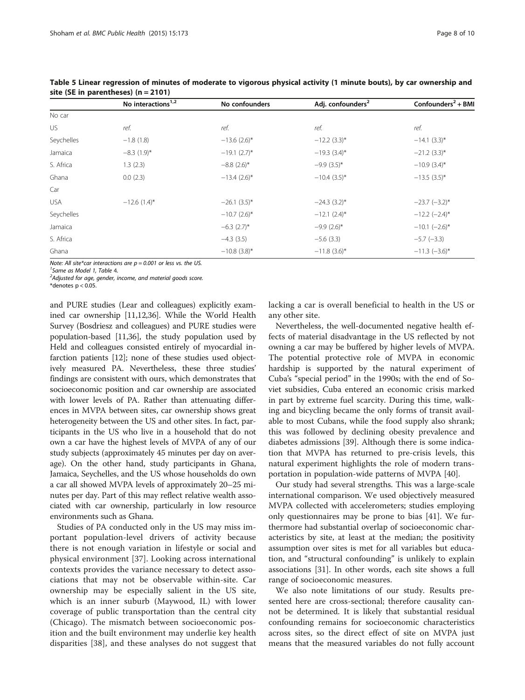|            | No interactions <sup>1,2</sup> | No confounders            | Adj. confounders <sup>2</sup> | Confounders <sup>2</sup> + BMI |
|------------|--------------------------------|---------------------------|-------------------------------|--------------------------------|
| No car     |                                |                           |                               |                                |
| US.        | ref.                           | ref.                      | ref.                          | ref.                           |
| Seychelles | $-1.8(1.8)$                    | $-13.6$ (2.6)*            | $-12.2$ (3.3)*                | $-14.1(3.3)$ *                 |
| Jamaica    | $-8.3(1.9)$ *                  | $-19.1$ (2.7)*            | $-19.3(3.4)$ *                | $-21.2$ (3.3)*                 |
| S. Africa  | 1.3(2.3)                       | $-8.8$ (2.6)*             | $-9.9(3.5)^{*}$               | $-10.9(3.4)$ *                 |
| Ghana      | 0.0(2.3)                       | $-13.4(2.6)$ *            | $-10.4(3.5)$ *                | $-13.5(3.5)^{*}$               |
| Car        |                                |                           |                               |                                |
| <b>USA</b> | $-12.6(1.4)^{*}$               | $-26.1(3.5)$ *            | $-24.3(3.2)$ *                | $-23.7$ $(-3.2)$ *             |
| Seychelles |                                | $-10.7(2.6)$ *            | $-12.1$ (2.4) <sup>*</sup>    | $-12.2$ $(-2.4)$ *             |
| Jamaica    |                                | $-6.3$ (2.7) <sup>*</sup> | $-9.9(2.6)$ *                 | $-10.1$ $(-2.6)$ *             |
| S. Africa  |                                | $-4.3(3.5)$               | $-5.6(3.3)$                   | $-5.7$ ( $-3.3$ )              |
| Ghana      |                                | $-10.8(3.8)$ *            | $-11.8(3.6)$ *                | $-11.3$ $(-3.6)$ *             |

<span id="page-7-0"></span>Table 5 Linear regression of minutes of moderate to vigorous physical activity (1 minute bouts), by car ownership and site (SE in parentheses) (n = 2101)

Note: All site\*car interactions are  $p = 0.001$  or less vs. the US.

<sup>1</sup> Same as Model 1, Table [4](#page-6-0).<br><sup>2</sup> Adjusted for age, gender i

 $A$ djusted for age, gender, income, and material goods score.

\*denotes  $p < 0.05$ .

and PURE studies (Lear and colleagues) explicitly examined car ownership [\[11,12,](#page-8-0)[36](#page-9-0)]. While the World Health Survey (Bosdriesz and colleagues) and PURE studies were population-based [[11](#page-8-0)[,36](#page-9-0)], the study population used by Held and colleagues consisted entirely of myocardial infarction patients [\[12\]](#page-8-0); none of these studies used objectively measured PA. Nevertheless, these three studies' findings are consistent with ours, which demonstrates that socioeconomic position and car ownership are associated with lower levels of PA. Rather than attenuating differences in MVPA between sites, car ownership shows great heterogeneity between the US and other sites. In fact, participants in the US who live in a household that do not own a car have the highest levels of MVPA of any of our study subjects (approximately 45 minutes per day on average). On the other hand, study participants in Ghana, Jamaica, Seychelles, and the US whose households do own a car all showed MVPA levels of approximately 20–25 minutes per day. Part of this may reflect relative wealth associated with car ownership, particularly in low resource environments such as Ghana.

Studies of PA conducted only in the US may miss important population-level drivers of activity because there is not enough variation in lifestyle or social and physical environment [[37\]](#page-9-0). Looking across international contexts provides the variance necessary to detect associations that may not be observable within-site. Car ownership may be especially salient in the US site, which is an inner suburb (Maywood, IL) with lower coverage of public transportation than the central city (Chicago). The mismatch between socioeconomic position and the built environment may underlie key health disparities [\[38](#page-9-0)], and these analyses do not suggest that lacking a car is overall beneficial to health in the US or any other site.

Nevertheless, the well-documented negative health effects of material disadvantage in the US reflected by not owning a car may be buffered by higher levels of MVPA. The potential protective role of MVPA in economic hardship is supported by the natural experiment of Cuba's "special period" in the 1990s; with the end of Soviet subsidies, Cuba entered an economic crisis marked in part by extreme fuel scarcity. During this time, walking and bicycling became the only forms of transit available to most Cubans, while the food supply also shrank; this was followed by declining obesity prevalence and diabetes admissions [\[39\]](#page-9-0). Although there is some indication that MVPA has returned to pre-crisis levels, this natural experiment highlights the role of modern transportation in population-wide patterns of MVPA [\[40\]](#page-9-0).

Our study had several strengths. This was a large-scale international comparison. We used objectively measured MVPA collected with accelerometers; studies employing only questionnaires may be prone to bias [\[41](#page-9-0)]. We furthermore had substantial overlap of socioeconomic characteristics by site, at least at the median; the positivity assumption over sites is met for all variables but education, and "structural confounding" is unlikely to explain associations [\[31](#page-9-0)]. In other words, each site shows a full range of socioeconomic measures.

We also note limitations of our study. Results presented here are cross-sectional; therefore causality cannot be determined. It is likely that substantial residual confounding remains for socioeconomic characteristics across sites, so the direct effect of site on MVPA just means that the measured variables do not fully account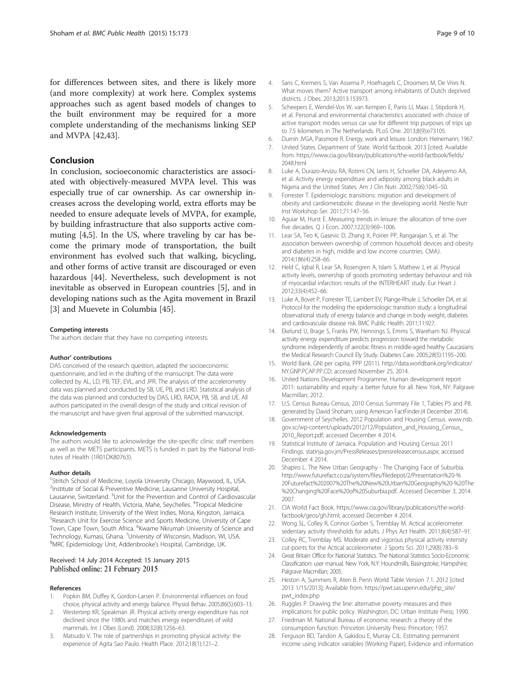<span id="page-8-0"></span>for differences between sites, and there is likely more (and more complexity) at work here. Complex systems approaches such as agent based models of changes to the built environment may be required for a more complete understanding of the mechanisms linking SEP and MVPA [[42](#page-9-0),[43](#page-9-0)].

## Conclusion

In conclusion, socioeconomic characteristics are associated with objectively-measured MVPA level. This was especially true of car ownership. As car ownership increases across the developing world, extra efforts may be needed to ensure adequate levels of MVPA, for example, by building infrastructure that also supports active commuting [4,5]. In the US, where traveling by car has become the primary mode of transportation, the built environment has evolved such that walking, bicycling, and other forms of active transit are discouraged or even hazardous [\[44\]](#page-9-0). Nevertheless, such development is not inevitable as observed in European countries [5], and in developing nations such as the Agita movement in Brazil [3] and Muevete in Columbia [\[45\]](#page-9-0).

#### Competing interests

The authors declare that they have no competing interests.

#### Author' contributions

DAS conceived of the research question, adapted the socioeconomic questionnaire, and led in the drafting of the mansucript. The data were collected by AL, LD, PB, TEF, EVL, and JPR. The analysis of tthe accelerometry data was planned and conducted by SB, UE, PB, and LRD. Statistical analysis of the data was planned and conducted by DAS, LRD, RADA, PB, SB, and UE. All authors participated in the overall design of the study and critical revision of the manuscript and have given final approval of the submitted manuscript.

#### Acknowledgements

The authors would like to acknowledge the site-specific clinic staff members as well as the METS participants. METS is funded in part by the National Institutes of Health (1R01DK80763).

#### Author details

<sup>1</sup>Stritch School of Medicine, Loyola University Chicago, Maywood, IL, USA. <sup>2</sup>Institute of Social & Preventive Medicine, Lausanne University Hospital, Lausanne, Switzerland. <sup>3</sup>Unit for the Prevention and Control of Cardiovascular Disease, Ministry of Health, Victoria, Mahe, Seychelles. <sup>4</sup>Tropical Medicine Research Institute, University of the West Indies, Mona, Kingston, Jamaica. 5 Research Unit for Exercise Science and Sports Medicine, University of Cape Town, Cape Town, South Africa. <sup>6</sup>Kwame Nkrumah University of Science and Technology, Kumasi, Ghana. <sup>7</sup>University of Wisconsin, Madison, WI, USA.<br><sup>8</sup>MPC Epidomialogy Unit, Addonbrooko's Hospital, Cambridge, UK. MRC Epidemiology Unit, Addenbrooke's Hospital, Cambridge, UK.

#### Received: 14 July 2014 Accepted: 15 January 2015 Published online: 21 February 2015

#### References

- Popkin BM, Duffey K, Gordon-Larsen P. Environmental influences on food choice, physical activity and energy balance. Physiol Behav. 2005;86(5):603–13.
- 2. Westerterp KR, Speakman JR. Physical activity energy expenditure has not declined since the 1980s and matches energy expenditures of wild mammals. Int J Obes (Lond). 2008;32(8):1256–63.
- 3. Matsudo V. The role of partnerships in promoting physical activity: the experience of Agita Sao Paulo. Health Place. 2012;18(1):121–2.
- 4. Saris C, Kremers S, Van Assema P, Hoefnagels C, Droomers M, De Vries N. What moves them? Active transport among inhabitants of Dutch deprived districts. J Obes. 2013;2013:153973.
- 5. Scheepers E, Wendel-Vos W, van Kempen E, Panis LI, Maas J, Stipdonk H, et al. Personal and environmental characteristics associated with choice of active transport modes versus car use for different trip purposes of trips up to 7.5 kilometers in The Netherlands. PLoS One. 2013;8(9):e73105.
- 6. Durnin JVGA, Passmore R. Energy, work and leisure. London: Heinemann; 1967.
- 7. United States. Department of State. World factbook. 2013 [cited; Available from. [https://www.cia.gov/library/publications/the-world-factbook/fields/](https://www.cia.gov/library/publications/the-world-factbook/fields/2048.html) [2048.html](https://www.cia.gov/library/publications/the-world-factbook/fields/2048.html)
- 8. Luke A, Durazo-Arvizu RA, Rotimi CN, Jams H, Schoeller DA, Adeyemo AA, et al. Activity energy expenditure and adiposity among black adults in Nigeria and the United States. Am J Clin Nutr. 2002;75(6):1045–50.
- 9. Forrester T. Epidemiologic transitions: migration and development of obesity and cardiometabolic disease in the developing world. Nestle Nutr Inst Workshop Ser. 2011;71:147–56.
- 10. Aguiar M, Hurst E. Measuring trends in leisure: the allocation of time over five decades. Q J Econ. 2007;122(3):969–1006.
- 11. Lear SA, Teo K, Gasevic D, Zhang X, Poirier PP, Rangarajan S, et al. The association between ownership of common household devices and obesity and diabetes in high, middle and low income countries. CMAJ. 2014;186(4):258–66.
- 12. Held C, Iqbal R, Lear SA, Rosengren A, Islam S, Mathew J, et al. Physical activity levels, ownership of goods promoting sedentary behaviour and risk of myocardial infarction: results of the INTERHEART study. Eur Heart J. 2012;33(4):452–66.
- 13. Luke A, Bovet P, Forrester TE, Lambert EV, Plange-Rhule J, Schoeller DA, et al. Protocol for the modeling the epidemiologic transition study: a longitudinal observational study of energy balance and change in body weight, diabetes and cardiovascular disease risk. BMC Public Health. 2011;11:927.
- 14. Ekelund U, Brage S, Franks PW, Hennings S, Emms S, Wareham NJ. Physical activity energy expenditure predicts progression toward the metabolic syndrome independently of aerobic fitness in middle-aged healthy Caucasians: the Medical Research Council Ely Study. Diabetes Care. 2005;28(5):1195–200.
- 15. World Bank. GNI per capita, PPP (2011). [http://data.worldbank.org/indicator/](http://data.worldbank.org/indicator/NY.GNP.PCAP.PP.CD) [NY.GNP.PCAP.PP.CD](http://data.worldbank.org/indicator/NY.GNP.PCAP.PP.CD); accessed November 25, 2014.
- 16. United Nations Development Programme. Human development report 2011: sustainability and equity: a better future for all. New York, NY: Palgrave Macmillan; 2012.
- 17. U.S. Census Bureau Census, 2010 Census Summary File 1, Tables P5 and P8. generated by David Shoham; using American FactFinder.(4 December 2014).
- 18. Government of Seychelles. 2012 Population and Housing Census. [www.nsb.](http://www.nsb.gov.sc/wp-content/uploads/2012/12/Population_and_Housing_Census_2010_Report.pdf) [gov.sc/wp-content/uploads/2012/12/Population\\_and\\_Housing\\_Census\\_](http://www.nsb.gov.sc/wp-content/uploads/2012/12/Population_and_Housing_Census_2010_Report.pdf) [2010\\_Report.pdf;](http://www.nsb.gov.sc/wp-content/uploads/2012/12/Population_and_Housing_Census_2010_Report.pdf) accessed December 4 2014.
- 19. Statistical Institute of Jamaica. Population and Housing Census 2011 Findings. [statinja.gov.jm/PressReleases/pressreleasecensus.aspx;](http://statinja.gov.jm/PressReleases/pressreleasecensus.aspx) accessed December 4 2014.
- 20. Shapiro L. The New Urban Geography The Changing Face of Suburbia. [http://www.futurefact.co.za/system/files/filedepot/2/Presentation%20-%](http://www.futurefact.co.za/system/files/filedepot/2/Presentation%20-%20Futurefact%202007%20The%20New%20Urban%20Geography%20-%20The%20Changing%20Face%20of%20Suburbia.pdf) [20Futurefact%202007%20The%20New%20Urban%20Geography%20-%20The](http://www.futurefact.co.za/system/files/filedepot/2/Presentation%20-%20Futurefact%202007%20The%20New%20Urban%20Geography%20-%20The%20Changing%20Face%20of%20Suburbia.pdf) [%20Changing%20Face%20of%20Suburbia.pdf](http://www.futurefact.co.za/system/files/filedepot/2/Presentation%20-%20Futurefact%202007%20The%20New%20Urban%20Geography%20-%20The%20Changing%20Face%20of%20Suburbia.pdf). Accessed December 3, 2014. 2007.
- 21. CIA World Fact Book. [https://www.cia.gov/library/publications/the-world](https://www.cia.gov/library/publications/the-world-factbook/geos/gh.html)[factbook/geos/gh.html;](https://www.cia.gov/library/publications/the-world-factbook/geos/gh.html) accessed December 4 2014.
- 22. Wong SL, Colley R, Connor Gorber S, Tremblay M. Actical accelerometer sedentary activity thresholds for adults. J Phys Act Health. 2011;8(4):587–91.
- 23. Colley RC, Tremblay MS. Moderate and vigorous physical activity intensity cut-points for the Actical accelerometer. J Sports Sci. 2011;29(8):783–9.
- 24. Great Britain Office for National Statistics. The National Statistics Socio-Economic Classification: user manual. New York, N.Y: Houndmills, Basingstoke, Hampshire; Palgrave Macmillan; 2005.
- 25. Heston A, Summers R, Aten B. Penn World Table Version 7.1. 2012 [cited 2013 1/15/2013]; Available from: [https://pwt.sas.upenn.edu/php\\_site/](https://pwt.sas.upenn.edu/php_site/pwt_index.php) [pwt\\_index.php](https://pwt.sas.upenn.edu/php_site/pwt_index.php)
- 26. Ruggles P. Drawing the line: alternative poverty measures and their implications for public policy. Washington, DC: Urban Institute Press; 1990.
- 27. Friedman M. National Bureau of economic research: a theory of the consumption function. Princeton University Press: Princeton; 1957.
- 28. Ferguson BD, Tandon A, Gakidou E, Murray CJL. Estimating permanent income using indicator variables (Working Paper), Evidence and information